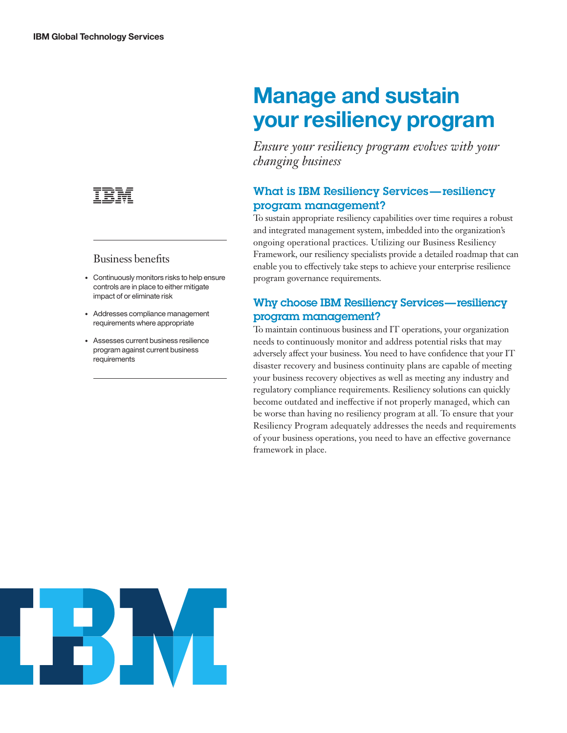

## Business benefits

- Continuously monitors risks to help ensure controls are in place to either mitigate impact of or eliminate risk
- Addresses compliance management requirements where appropriate
- Assesses current business resilience program against current business requirements

# **Manage and sustain your resiliency program**

*Ensure your resiliency program evolves with your changing business*

# What is IBM Resiliency Services — resiliency program management?

To sustain appropriate resiliency capabilities over time requires a robust and integrated management system, imbedded into the organization's ongoing operational practices. Utilizing our Business Resiliency Framework, our resiliency specialists provide a detailed roadmap that can enable you to effectively take steps to achieve your enterprise resilience program governance requirements.

## Why choose IBM Resiliency Services — resiliency program management?

To maintain continuous business and IT operations, your organization needs to continuously monitor and address potential risks that may adversely affect your business. You need to have confidence that your IT disaster recovery and business continuity plans are capable of meeting your business recovery objectives as well as meeting any industry and regulatory compliance requirements. Resiliency solutions can quickly become outdated and ineffective if not properly managed, which can be worse than having no resiliency program at all. To ensure that your Resiliency Program adequately addresses the needs and requirements of your business operations, you need to have an effective governance framework in place.

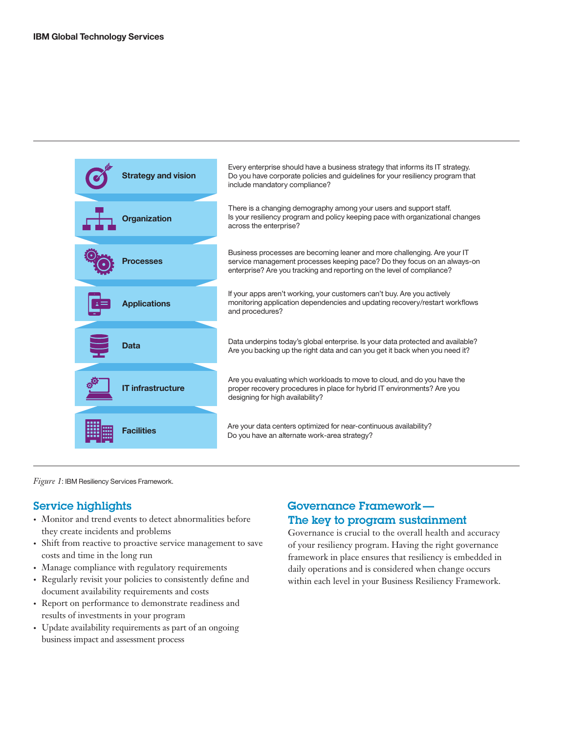

*Figure 1*: IBM Resiliency Services Framework.

## Service highlights

- Monitor and trend events to detect abnormalities before they create incidents and problems
- Shift from reactive to proactive service management to save costs and time in the long run
- Manage compliance with regulatory requirements
- Regularly revisit your policies to consistently define and document availability requirements and costs
- Report on performance to demonstrate readiness and results of investments in your program
- Update availability requirements as part of an ongoing business impact and assessment process

## Governance Framework — The key to program sustainment

Governance is crucial to the overall health and accuracy of your resiliency program. Having the right governance framework in place ensures that resiliency is embedded in daily operations and is considered when change occurs within each level in your Business Resiliency Framework.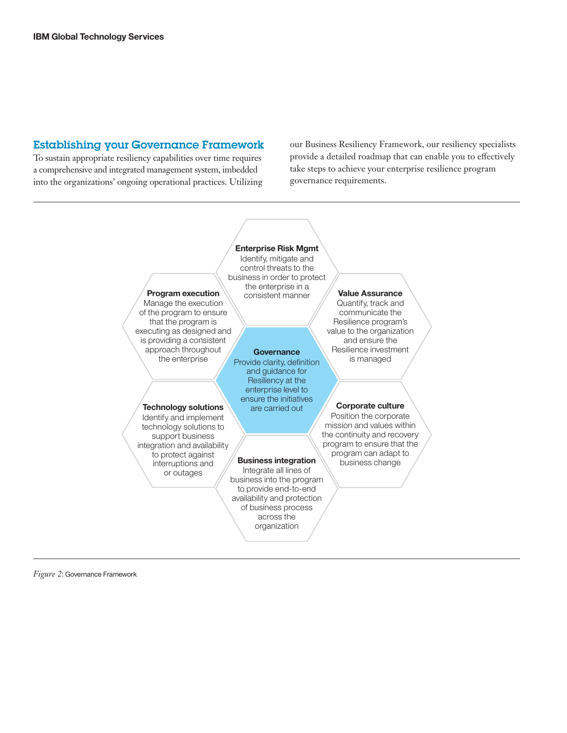## Establishing your Governance Framework

To sustain appropriate resiliency capabilities over time requires a comprehensive and integrated management system, imbedded into the organizations' ongoing operational practices. Utilizing our Business Resiliency Framework, our resiliency specialists provide a detailed roadmap that can enable you to effectively take steps to achieve your enterprise resilience program governance requirements.



*Figure 2*: Governance Framework